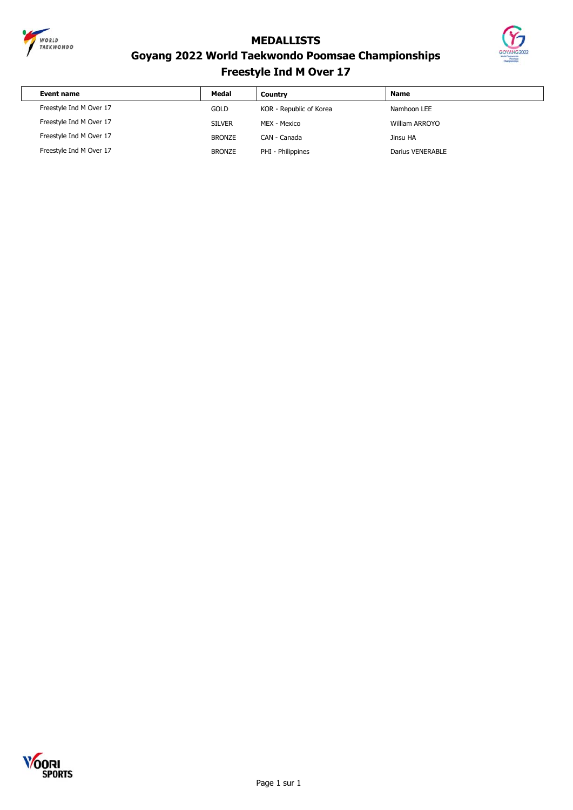

 $\sqrt{ }$ 

**MEDALLISTS**



### **Goyang 2022 World Taekwondo Poomsae Championships Freestyle Ind M Over 17**

| Event name              | Medal         | Country                 | <b>Name</b>           |
|-------------------------|---------------|-------------------------|-----------------------|
| Freestyle Ind M Over 17 | <b>GOLD</b>   | KOR - Republic of Korea | Namhoon LEE           |
| Freestyle Ind M Over 17 | <b>SILVER</b> | MEX - Mexico            | <b>William ARROYO</b> |
| Freestyle Ind M Over 17 | <b>BRONZE</b> | CAN - Canada            | Jinsu HA              |
| Freestyle Ind M Over 17 | <b>BRONZE</b> | PHI - Philippines       | Darius VENERABLE      |

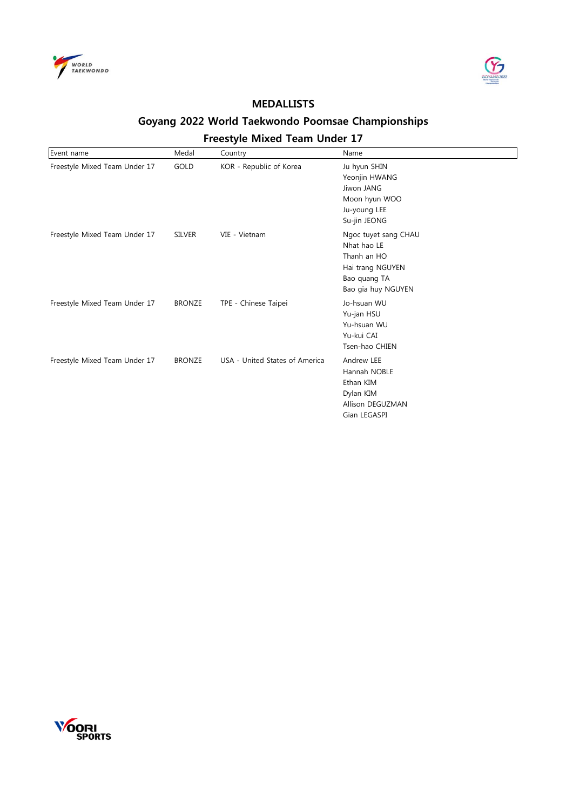



#### **Goyang 2022 World Taekwondo Poomsae Championships Freestyle Mixed Team Under 17**

| Event name                    | Medal         | Country                        | Name                                                                                                         |
|-------------------------------|---------------|--------------------------------|--------------------------------------------------------------------------------------------------------------|
| Freestyle Mixed Team Under 17 | GOLD          | KOR - Republic of Korea        | Ju hyun SHIN<br>Yeonjin HWANG<br>Jiwon JANG<br>Moon hyun WOO<br>Ju-young LEE<br>Su-jin JEONG                 |
| Freestyle Mixed Team Under 17 | <b>SILVER</b> | VIE - Vietnam                  | Ngoc tuyet sang CHAU<br>Nhat hao LE<br>Thanh an HO<br>Hai trang NGUYEN<br>Bao quang TA<br>Bao gia huy NGUYEN |
| Freestyle Mixed Team Under 17 | <b>BRONZE</b> | TPE - Chinese Taipei           | Jo-hsuan WU<br>Yu-jan HSU<br>Yu-hsuan WU<br>Yu-kui CAI<br>Tsen-hao CHIEN                                     |
| Freestyle Mixed Team Under 17 | <b>BRONZE</b> | USA - United States of America | Andrew LEE<br>Hannah NOBLE<br>Ethan KIM<br>Dylan KIM<br>Allison DEGUZMAN<br>Gian LEGASPI                     |

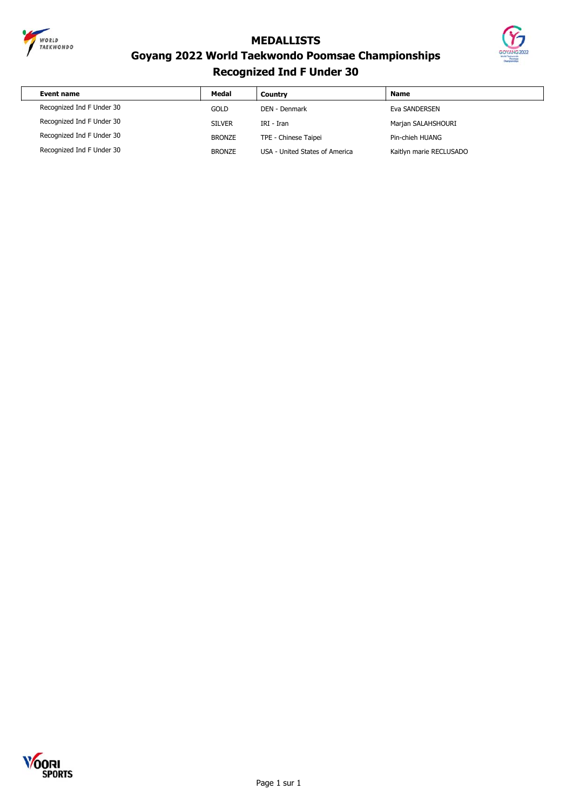



# **Goyang 2022 World Taekwondo Poomsae Championships Recognized Ind F Under 30**

| Event name                | Medal         | Country                        | <b>Name</b>             |
|---------------------------|---------------|--------------------------------|-------------------------|
| Recognized Ind F Under 30 | GOLD          | DEN - Denmark                  | Eva SANDERSEN           |
| Recognized Ind F Under 30 | <b>SILVER</b> | IRI - Iran                     | Marjan SALAHSHOURI      |
| Recognized Ind F Under 30 | <b>BRONZE</b> | TPE - Chinese Taipei           | Pin-chieh HUANG         |
| Recognized Ind F Under 30 | <b>BRONZE</b> | USA - United States of America | Kaitlyn marie RECLUSADO |

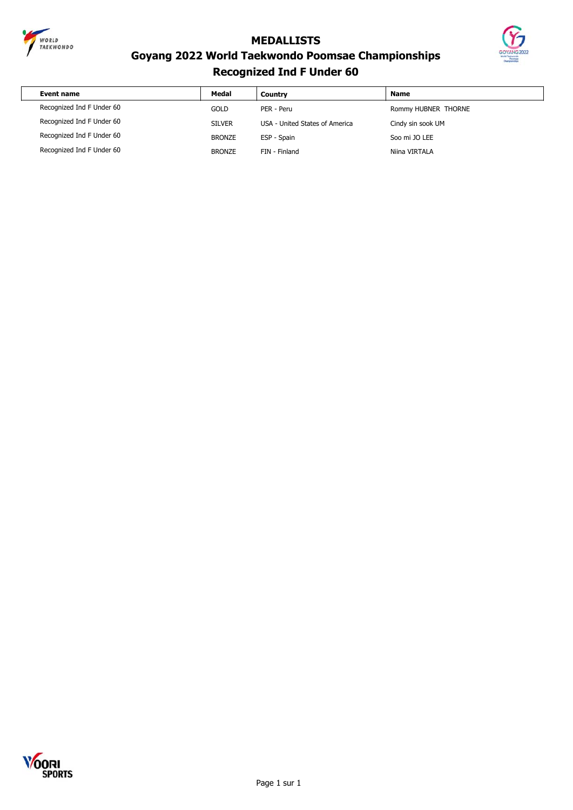



#### **Goyang 2022 World Taekwondo Poomsae Championships Recognized Ind F Under 60**

| Event name                | Medal         | Country                        | <b>Name</b>         |
|---------------------------|---------------|--------------------------------|---------------------|
| Recognized Ind F Under 60 | <b>GOLD</b>   | PER - Peru                     | Rommy HUBNER THORNE |
| Recognized Ind F Under 60 | <b>SILVER</b> | USA - United States of America | Cindy sin sook UM   |
| Recognized Ind F Under 60 | <b>BRONZE</b> | ESP - Spain                    | Soo mi JO LEE       |
| Recognized Ind F Under 60 | <b>BRONZE</b> | FIN - Finland                  | Niina VIRTALA       |

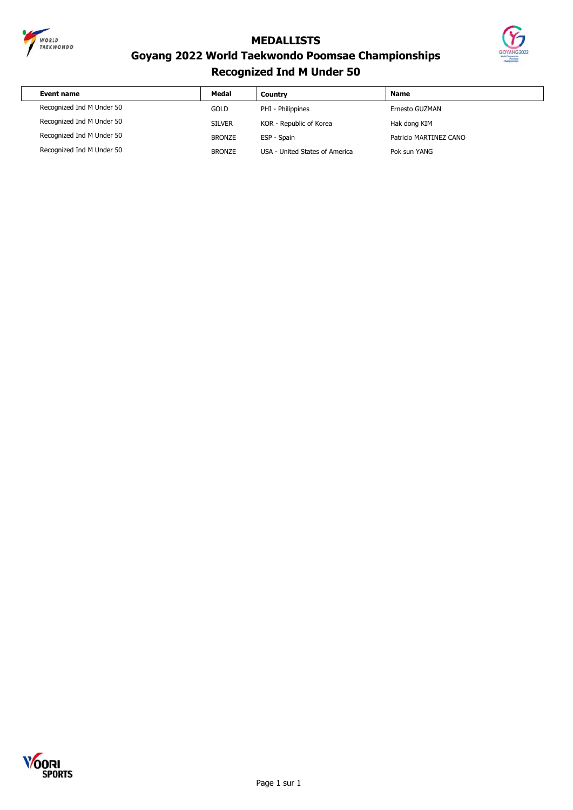



# **Goyang 2022 World Taekwondo Poomsae Championships Recognized Ind M Under 50**

| Event name                | Medal         | Country                        | <b>Name</b>            |
|---------------------------|---------------|--------------------------------|------------------------|
| Recognized Ind M Under 50 | <b>GOLD</b>   | PHI - Philippines              | Ernesto GUZMAN         |
| Recognized Ind M Under 50 | <b>SILVER</b> | KOR - Republic of Korea        | Hak dong KIM           |
| Recognized Ind M Under 50 | <b>BRONZE</b> | ESP - Spain                    | Patricio MARTINEZ CANO |
| Recognized Ind M Under 50 | <b>BRONZE</b> | USA - United States of America | Pok sun YANG           |

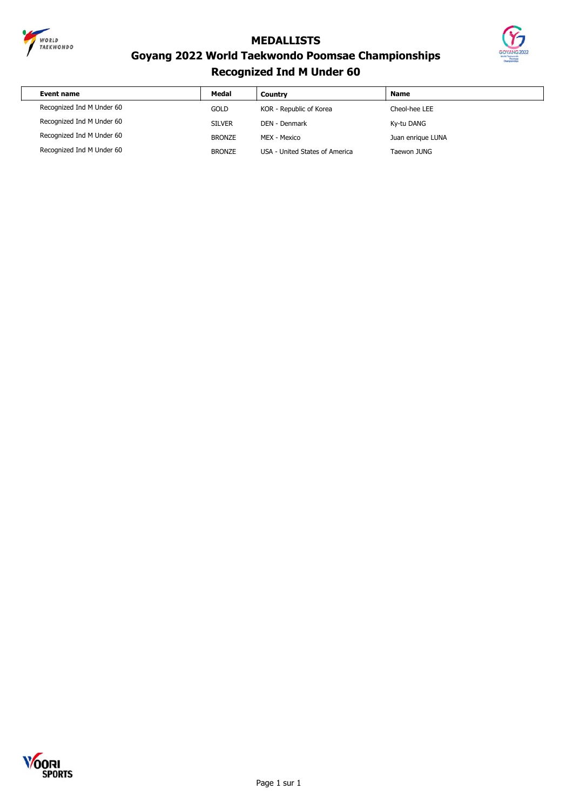



# **Goyang 2022 World Taekwondo Poomsae Championships Recognized Ind M Under 60**

| Event name                | Medal         | Country                        | <b>Name</b>       |
|---------------------------|---------------|--------------------------------|-------------------|
| Recognized Ind M Under 60 | <b>GOLD</b>   | KOR - Republic of Korea        | Cheol-hee LEE     |
| Recognized Ind M Under 60 | <b>SILVER</b> | DEN - Denmark                  | Ky-tu DANG        |
| Recognized Ind M Under 60 | <b>BRONZE</b> | MEX - Mexico                   | Juan enrique LUNA |
| Recognized Ind M Under 60 | <b>BRONZE</b> | USA - United States of America | Taewon JUNG       |

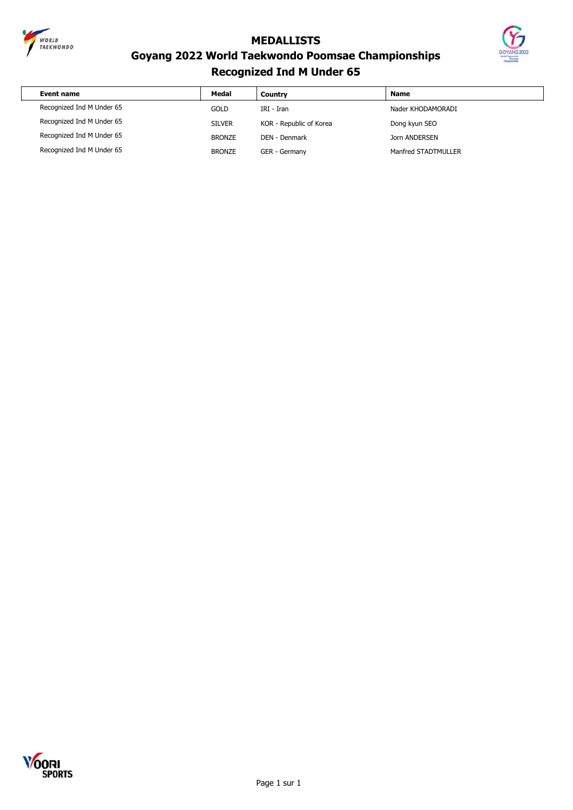



# **Goyang 2022 World Taekwondo Poomsae Championships Recognized Ind M Under 65**

| Event name                | Medal         | Country                 | <b>Name</b>         |
|---------------------------|---------------|-------------------------|---------------------|
| Recognized Ind M Under 65 | GOLD          | IRI - Iran              | Nader KHODAMORADI   |
| Recognized Ind M Under 65 | <b>SILVER</b> | KOR - Republic of Korea | Dong kyun SEO       |
| Recognized Ind M Under 65 | <b>BRONZE</b> | DEN - Denmark           | Jorn ANDERSEN       |
| Recognized Ind M Under 65 | <b>BRONZE</b> | GER - Germany           | Manfred STADTMULLER |